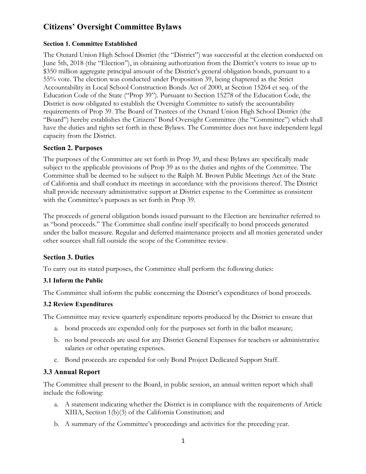# **Citizens' Oversight Committee Bylaws**

#### **Section 1. Committee Established**

The Oxnard Union High School District (the "District") was successful at the election conducted on June 5th, 2018 (the "Election"), in obtaining authorization from the District's voters to issue up to \$350 million aggregate principal amount of the District's general obligation bonds, pursuant to a 55% vote. The election was conducted under Proposition 39, being chaptered as the Strict Accountability in Local School Construction Bonds Act of 2000, at Section 15264 et seq. of the Education Code of the State ("Prop 39"). Pursuant to Section 15278 of the Education Code, the District is now obligated to establish the Oversight Committee to satisfy the accountability requirements of Prop 39. The Board of Trustees of the Oxnard Union High School District (the "Board") hereby establishes the Citizens' Bond Oversight Committee (the "Committee") which shall have the duties and rights set forth in these Bylaws. The Committee does not have independent legal capacity from the District.

## **Section 2. Purposes**

The purposes of the Committee are set forth in Prop 39, and these Bylaws are specifically made subject to the applicable provisions of Prop 39 as to the duties and rights of the Committee. The Committee shall be deemed to be subject to the Ralph M. Brown Public Meetings Act of the State of California and shall conduct its meetings in accordance with the provisions thereof. The District shall provide necessary administrative support at District expense to the Committee as consistent with the Committee's purposes as set forth in Prop 39.

The proceeds of general obligation bonds issued pursuant to the Election are hereinafter referred to as "bond proceeds." The Committee shall confine itself specifically to bond proceeds generated under the ballot measure. Regular and deferred maintenance projects and all monies generated under other sources shall fall outside the scope of the Committee review.

## **Section 3. Duties**

To carry out its stated purposes, the Committee shall perform the following duties:

#### **3.1 Inform the Public**

The Committee shall inform the public concerning the District's expenditures of bond proceeds.

#### **3.2 Review Expenditures**

The Committee may review quarterly expenditure reports produced by the District to ensure that

- a. bond proceeds are expended only for the purposes set forth in the ballot measure;
- a. bond proceeds are expended only for the purposes set forth in the ballot measure; b. no bond proceeds are used for any District General Expenses for teachers or administrative salaries or other operating expenses.
- c. Bond proceeds are expended for only Bond Project Dedicated Support Staff.

## **3.3 Annual Report**

The Committee shall present to the Board, in public session, an annual written report which shall include the following:

- a. A statement indicating whether the District is in compliance with the requirements of Article XIIIA, Section 1(b)(3) of the California Constitution; and
- b. A summary of the Committee's proceedings and activities for the preceding year.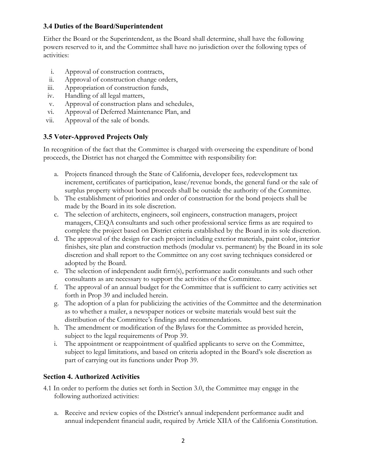# **3.4 Duties of the Board/Superintendent**

Either the Board or the Superintendent, as the Board shall determine, shall have the following powers reserved to it, and the Committee shall have no jurisdiction over the following types of activities:

- Approval of construction contracts,
- Approval of construction change orders,
- Appropriation of construction funds,
- Handling of all legal matters,
- Approval of construction plans and schedules, i. Approval of construction contracts,<br>ii. Approval of construction change orders,<br>iii. Appropriation of construction funds,<br>iv. Handling of all legal matters,<br>v. Approval of construction plans and schedules<br>vi. Approval o
- 
- vii. Approval of the sale of bonds.

# **3.5 Voter-Approved Projects Only**

In recognition of the fact that the Committee is charged with overseeing the expenditure of bond proceeds, the District has not charged the Committee with responsibility for:

- surplus property without bond proceeds shall be outside the authority of the Committee. a. Projects financed through the State of California, developer fees, redevelopment tax increment, certificates of participation, lease/revenue bonds, the general fund or the sale of
- made by the Board in its sole discretion. b. The establishment of priorities and order of construction for the bond projects shall be
- complete the project based on District criteria established by the Board in its sole discretion. c. The selection of architects, engineers, soil engineers, construction managers, project managers, CEQA consultants and such other professional service firms as are required to
- adopted by the Board. d. The approval of the design for each project including exterior materials, paint color, interior finishes, site plan and construction methods (modular vs. permanent) by the Board in its sole discretion and shall report to the Committee on any cost saving techniques considered or
- consultants as are necessary to support the activities of the Committee. e. The selection of independent audit firm(s), performance audit consultants and such other
- forth in Prop 39 and included herein. f. The approval of an annual budget for the Committee that is sufficient to carry activities set
- as to whether a mailer, a newspaper notices or website materials would best suit the distribution of the Committee's findings and recommendations. g. The adoption of a plan for publicizing the activities of the Committee and the determination
- subject to the legal requirements of Prop 39. h. The amendment or modification of the Bylaws for the Committee as provided herein,
- part of carrying out its functions under Prop 39. i. The appointment or reappointment of qualified applicants to serve on the Committee, subject to legal limitations, and based on criteria adopted in the Board's sole discretion as

## **Section 4. Authorized Activities**

- 4.1 In order to perform the duties set forth in Section 3.0, the Committee may engage in the following authorized activities:
	- annual independent financial audit, required by Article XIIA of the California Constitution. a. Receive and review copies of the District's annual independent performance audit and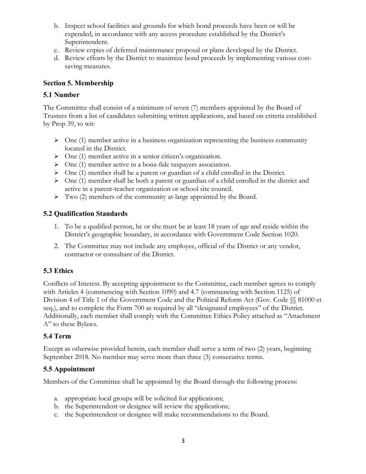- Superintendent. b. Inspect school facilities and grounds for which bond proceeds have been or will be expended, in accordance with any access procedure established by the District's
- c. Review copies of deferred maintenance proposal or plans developed by the District.
- saving measures. d. Review efforts by the District to maximize bond proceeds by implementing various cost-

## **Section 5. Membership**

# **5.1 Number**

The Committee shall consist of a minimum of seven (7) members appointed by the Board of Trustees from a list of candidates submitting written applications, and based on criteria established by Prop 39, to wit:

- located in the District.  $\triangleright$  One (1) member active in a business organization representing the business community
- $\triangleright$  One (1) member active in a senior citizen's organization.
- One (1) member active in a bona-fide taxpayers association.
- $\triangleright$  One (1) member shall be a parent or guardian of a child enrolled in the District.
- active in a parent-teacher organization or school site council.  $\triangleright$  One (1) member shall be both a parent or guardian of a child enrolled in the district and
- $\triangleright$  Two (2) members of the community at-large appointed by the Board.

# **5.2 Qualification Standards**

- District's geographic boundary, in accordance with Government Code Section 1020. 1. To be a qualified person, he or she must be at least 18 years of age and reside within the
- contractor or consultant of the District. 2. The Committee may not include any employee, official of the District or any vendor,

## **5.3 Ethics**

Conflicts of Interest. By accepting appointment to the Committee, each member agrees to comply with Articles 4 (commencing with Section 1090) and 4.7 (commencing with Section 1125) of Division 4 of Title 1 of the Government Code and the Political Reform Act (Gov. Code §§ 81000 et seq.), and to complete the Form 700 as required by all "designated employees" of the District. Additionally, each member shall comply with the Committee Ethics Policy attached as "Attachment A" to these Bylaws.

## **5.4 Term**

 September 2018. No member may serve more than three (3) consecutive terms. Except as otherwise provided herein, each member shall serve a term of two (2) years, beginning

## **5.5 Appointment**

Members of the Committee shall be appointed by the Board through the following process:<br>a. appropriate local groups will be solicited for applications;<br>b. the Superintendent or designee will review the applications;<br>c. the

- a. appropriate local groups will be solicited for applications;
- b. the Superintendent or designee will review the applications;
- c. the Superintendent or designee will make recommendations to the Board.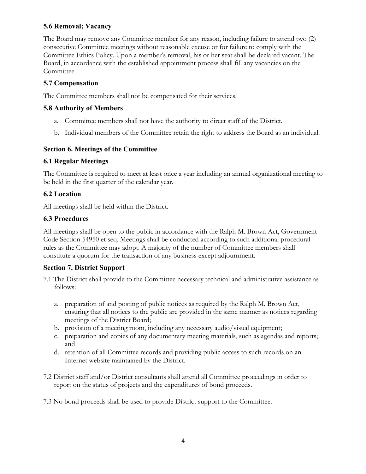# **5.6 Removal; Vacancy**

The Board may remove any Committee member for any reason, including failure to attend two (2) consecutive Committee meetings without reasonable excuse or for failure to comply with the Committee Ethics Policy. Upon a member's removal, his or her seat shall be declared vacant. The Board, in accordance with the established appointment process shall fill any vacancies on the Committee.

# **5.7 Compensation**

The Committee members shall not be compensated for their services.

## **5.8 Authority of Members**

- a. Committee members shall not have the authority to direct staff of the District.
- a. Committee members shall not have the authority to direct staff of the District. b. Individual members of the Committee retain the right to address the Board as an individual.

## **Section 6. Meetings of the Committee**

#### **6.1 Regular Meetings**

The Committee is required to meet at least once a year including an annual organizational meeting to be held in the first quarter of the calendar year.

## **6.2 Location**

All meetings shall be held within the District.

#### **6.3 Procedures**

All meetings shall be open to the public in accordance with the Ralph M. Brown Act, Government Code Section 54950 et seq. Meetings shall be conducted according to such additional procedural rules as the Committee may adopt. A majority of the number of Committee members shall constitute a quorum for the transaction of any business except adjournment.

## **Section 7. District Support**

- 7.1 The District shall provide to the Committee necessary technical and administrative assistance as follows:
	- meetings of the District Board; a. preparation of and posting of public notices as required by the Ralph M. Brown Act, ensuring that all notices to the public are provided in the same manner as notices regarding
	- b. provision of a meeting room, including any necessary audio/visual equipment;
	- c. preparation and copies of any documentary meeting materials, such as agendas and reports; and
	- Internet website maintained by the District. d. retention of all Committee records and providing public access to such records on an
- 7.2 District staff and/or District consultants shall attend all Committee proceedings in order to report on the status of projects and the expenditures of bond proceeds.

7.3 No bond proceeds shall be used to provide District support to the Committee.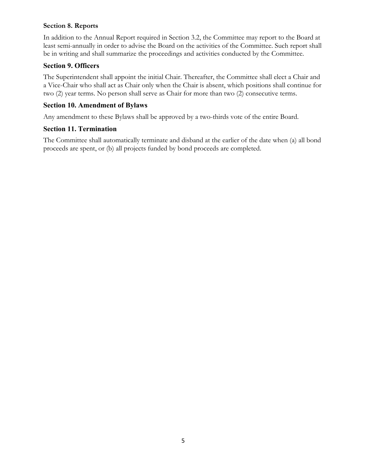#### **Section 8. Reports**

In addition to the Annual Report required in Section 3.2, the Committee may report to the Board at least semi-annually in order to advise the Board on the activities of the Committee. Such report shall be in writing and shall summarize the proceedings and activities conducted by the Committee.

# **Section 9. Officers**

The Superintendent shall appoint the initial Chair. Thereafter, the Committee shall elect a Chair and a Vice-Chair who shall act as Chair only when the Chair is absent, which positions shall continue for two (2) year terms. No person shall serve as Chair for more than two (2) consecutive terms.

# **Section 10. Amendment of Bylaws**

Any amendment to these Bylaws shall be approved by a two-thirds vote of the entire Board.

# **Section 11. Termination**

The Committee shall automatically terminate and disband at the earlier of the date when (a) all bond proceeds are spent, or (b) all projects funded by bond proceeds are completed.